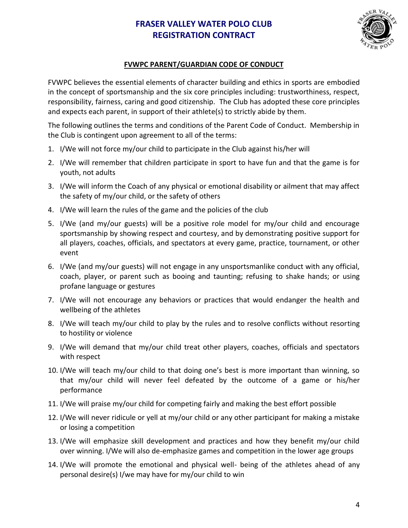## **FRASER VALLEY WATER POLO CLUB REGISTRATION CONTRACT**



## **FVWPC PARENT/GUARDIAN CODE OF CONDUCT**

FVWPC believes the essential elements of character building and ethics in sports are embodied in the concept of sportsmanship and the six core principles including: trustworthiness, respect, responsibility, fairness, caring and good citizenship. The Club has adopted these core principles and expects each parent, in support of their athlete(s) to strictly abide by them.

The following outlines the terms and conditions of the Parent Code of Conduct. Membership in the Club is contingent upon agreement to all of the terms:

- 1. I/We will not force my/our child to participate in the Club against his/her will
- 2. I/We will remember that children participate in sport to have fun and that the game is for youth, not adults
- 3. I/We will inform the Coach of any physical or emotional disability or ailment that may affect the safety of my/our child, or the safety of others
- 4. I/We will learn the rules of the game and the policies of the club
- 5. I/We (and my/our guests) will be a positive role model for my/our child and encourage sportsmanship by showing respect and courtesy, and by demonstrating positive support for all players, coaches, officials, and spectators at every game, practice, tournament, or other event
- 6. I/We (and my/our guests) will not engage in any unsportsmanlike conduct with any official, coach, player, or parent such as booing and taunting; refusing to shake hands; or using profane language or gestures
- 7. I/We will not encourage any behaviors or practices that would endanger the health and wellbeing of the athletes
- 8. I/We will teach my/our child to play by the rules and to resolve conflicts without resorting to hostility or violence
- 9. I/We will demand that my/our child treat other players, coaches, officials and spectators with respect
- 10. I/We will teach my/our child to that doing one's best is more important than winning, so that my/our child will never feel defeated by the outcome of a game or his/her performance
- 11. I/We will praise my/our child for competing fairly and making the best effort possible
- 12. I/We will never ridicule or yell at my/our child or any other participant for making a mistake or losing a competition
- 13. I/We will emphasize skill development and practices and how they benefit my/our child over winning. I/We will also de-emphasize games and competition in the lower age groups
- 14. I/We will promote the emotional and physical well- being of the athletes ahead of any personal desire(s) I/we may have for my/our child to win